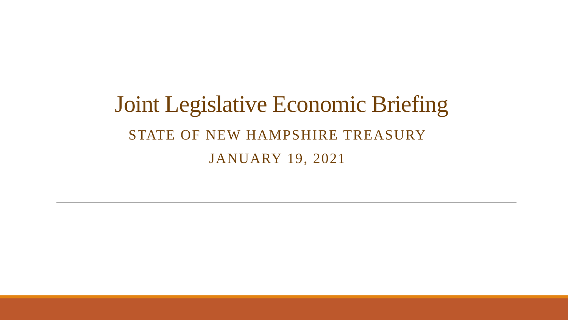# Joint Legislative Economic Briefing STATE OF NEW HAMPSHIRE TREASURY JANUARY 19, 2021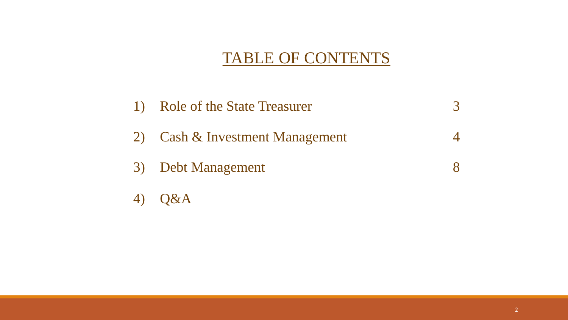## TABLE OF CONTENTS

| $\bf{1}$ | <b>Role of the State Treasurer</b> |  |
|----------|------------------------------------|--|
|          | 2) Cash & Investment Management    |  |
|          | 3) Debt Management                 |  |
|          | <b>Q&amp;A</b>                     |  |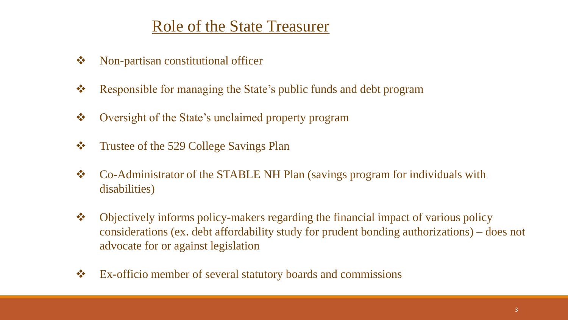### Role of the State Treasurer

- Non-partisan constitutional officer
- Responsible for managing the State's public funds and debt program
- Oversight of the State's unclaimed property program
- ❖ Trustee of the 529 College Savings Plan
- \* Co-Administrator of the STABLE NH Plan (savings program for individuals with disabilities)
- Objectively informs policy-makers regarding the financial impact of various policy considerations (ex. debt affordability study for prudent bonding authorizations) – does not advocate for or against legislation
- Ex-officio member of several statutory boards and commissions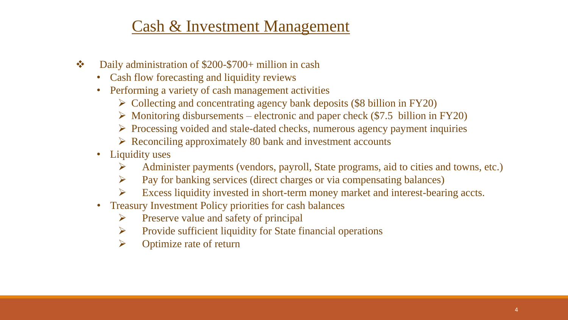### Cash & Investment Management

- Daily administration of \$200-\$700+ million in cash
	- Cash flow forecasting and liquidity reviews
	- Performing a variety of cash management activities
		- $\triangleright$  Collecting and concentrating agency bank deposits (\$8 billion in FY20)
		- $\triangleright$  Monitoring disbursements electronic and paper check (\$7.5 billion in FY20)
		- $\triangleright$  Processing voided and stale-dated checks, numerous agency payment inquiries
		- $\triangleright$  Reconciling approximately 80 bank and investment accounts
	- Liquidity uses
		- Administer payments (vendors, payroll, State programs, aid to cities and towns, etc.)
		- $\triangleright$  Pay for banking services (direct charges or via compensating balances)
		- $\triangleright$  Excess liquidity invested in short-term money market and interest-bearing accts.
	- Treasury Investment Policy priorities for cash balances
		- $\triangleright$  Preserve value and safety of principal
		- $\triangleright$  Provide sufficient liquidity for State financial operations
		- $\triangleright$  Optimize rate of return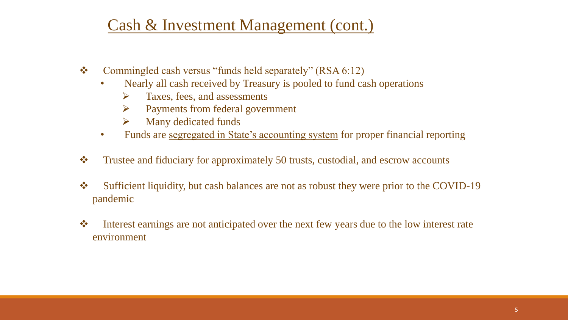### Cash & Investment Management (cont.)

- Commingled cash versus "funds held separately" (RSA 6:12)
	- Nearly all cash received by Treasury is pooled to fund cash operations
		- $\triangleright$  Taxes, fees, and assessments
		- Payments from federal government
		- $\triangleright$  Many dedicated funds
	- Funds are segregated in State's accounting system for proper financial reporting
- Trustee and fiduciary for approximately 50 trusts, custodial, and escrow accounts
- Sufficient liquidity, but cash balances are not as robust they were prior to the COVID-19 pandemic
- Interest earnings are not anticipated over the next few years due to the low interest rate environment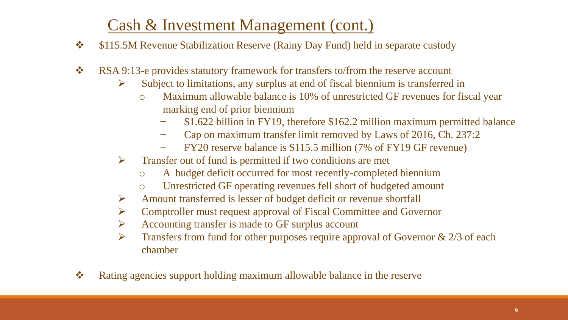### Cash & Investment Management (cont.)

- $\div$  \$115.5M Revenue Stabilization Reserve (Rainy Day Fund) held in separate custody
- RSA 9:13-e provides statutory framework for transfers to/from the reserve account
	- $\triangleright$  Subject to limitations, any surplus at end of fiscal biennium is transferred in
		- o Maximum allowable balance is 10% of unrestricted GF revenues for fiscal year marking end of prior biennium
			- − \$1.622 billion in FY19, therefore \$162.2 million maximum permitted balance
			- − Cap on maximum transfer limit removed by Laws of 2016, Ch. 237:2
			- − FY20 reserve balance is \$115.5 million (7% of FY19 GF revenue)
	- $\triangleright$  Transfer out of fund is permitted if two conditions are met
		- o A budget deficit occurred for most recently-completed biennium
		- o Unrestricted GF operating revenues fell short of budgeted amount
	- $\triangleright$  Amount transferred is lesser of budget deficit or revenue shortfall
	- Comptroller must request approval of Fiscal Committee and Governor
	- $\triangleright$  Accounting transfer is made to GF surplus account
	- $\triangleright$  Transfers from fund for other purposes require approval of Governor & 2/3 of each chamber
- Rating agencies support holding maximum allowable balance in the reserve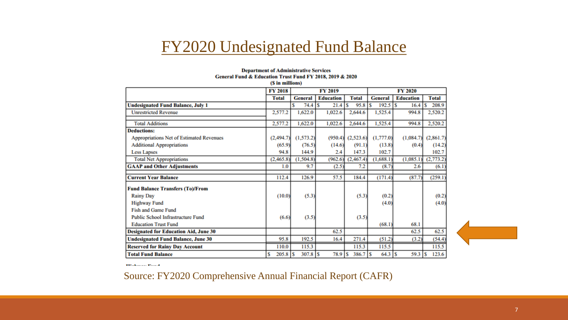#### FY2020 Undesignated Fund Balance

#### **Department of Administrative Services** General Fund & Education Trust Fund FY 2018, 2019 & 2020 on the contractors.

|  |  | (S in millions) |  |
|--|--|-----------------|--|
|--|--|-----------------|--|

|                                                 | <b>FY 2018</b> | <b>FY 2019</b> |                  |                 | <b>FY 2020</b>    |                  |              |  |
|-------------------------------------------------|----------------|----------------|------------------|-----------------|-------------------|------------------|--------------|--|
|                                                 | <b>Total</b>   | <b>General</b> | <b>Education</b> | <b>Total</b>    | <b>General</b>    | <b>Education</b> | <b>Total</b> |  |
| <b>Undesignated Fund Balance, July 1</b>        |                | 74.4<br>Ś      | 21.4<br>S        | 95.8<br>s       | 192.5<br>S        | Ś<br>16.4        | 208.9<br>Ŝ   |  |
| <b>Unrestricted Revenue</b>                     | 2,577.2        | 1,622.0        | 1,022.6          | 2,644.6         | 1,525.4           | 994.8            | 2,520.2      |  |
| <b>Total Additions</b>                          | 2,577.2        | 1,622.0        | 1,022.6          | 2,644.6         | 1,525.4           | 994.8            | 2,520.2      |  |
| <b>Deductions:</b>                              |                |                |                  |                 |                   |                  |              |  |
| <b>Appropriations Net of Estimated Revenues</b> | (2, 494.7)     | (1,573.2)      | (950.4)          | (2,523.6)       | (1,777.0)         | (1,084.7)        | (2,861.7)    |  |
| <b>Additional Appropriations</b>                | (65.9)         | (76.5)         | (14.6)           | (91.1)          | (13.8)            | (0.4)            | (14.2)       |  |
| <b>Less Lapses</b>                              | 94.8           | 144.9          | 2.4              | 147.3           | 102.7             |                  | 102.7        |  |
| <b>Total Net Appropriations</b>                 | (2,465.8)      | (1,504.8)      | (962.6)          | (2,467.4)       | (1,688.1)         | (1,085.1)        | (2,773.2)    |  |
| <b>GAAP and Other Adjustments</b>               | 1.0            | 9.7            | (2.5)            | 7.2             | (8.7)             | 2.6              | (6.1)        |  |
| <b>Current Year Balance</b>                     | 112.4          | 126.9          | 57.5             | 184.4           | (171.4)           | (87.7)           | (259.1)      |  |
| <b>Fund Balance Transfers (To)/From</b>         |                |                |                  |                 |                   |                  |              |  |
| <b>Rainy Day</b>                                | (10.0)         | (5.3)          |                  | (5.3)           | (0.2)             |                  | (0.2)        |  |
| <b>Highway Fund</b>                             |                |                |                  |                 | (4.0)             |                  | (4.0)        |  |
| <b>Fish and Game Fund</b>                       |                |                |                  |                 |                   |                  |              |  |
| <b>Public School Infrastructure Fund</b>        | (6.6)          | (3.5)          |                  | (3.5)           |                   |                  |              |  |
| <b>Education Trust Fund</b>                     |                |                |                  |                 | (68.1)            | 68.1             |              |  |
| <b>Designated for Education Aid, June 30</b>    |                |                | 62.5             |                 |                   | 62.5             | 62.5         |  |
| <b>Undesignated Fund Balance, June 30</b>       | 95.8           | 192.5          | 16.4             | 271.4           | (51.2)            | (3.2)            | (54.4)       |  |
| <b>Reserved for Rainy Day Account</b>           | 110.0          | 115.3          |                  | 115.3           | 115.5             |                  | 115.5        |  |
| <b>Total Fund Balance</b>                       | $205.8$ S<br>S | $307.8$ S      | 78.9             | 1s<br>$386.7$ S | $64.3$ $\sqrt{S}$ | 59.3             | 123.6<br>S   |  |



THelencor Board

Source: FY2020 Comprehensive Annual Financial Report (CAFR)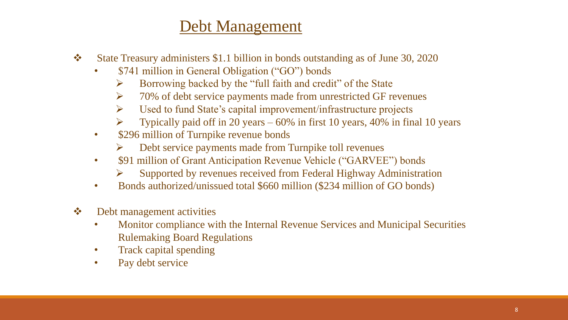### Debt Management

- State Treasury administers \$1.1 billion in bonds outstanding as of June 30, 2020
	- \$741 million in General Obligation ("GO") bonds
		- $\triangleright$  Borrowing backed by the "full faith and credit" of the State
		- $\triangleright$  70% of debt service payments made from unrestricted GF revenues
		- $\triangleright$  Used to fund State's capital improvement/infrastructure projects
		- $\triangleright$  Typically paid off in 20 years 60% in first 10 years, 40% in final 10 years
	- \$296 million of Turnpike revenue bonds
		- $\triangleright$  Debt service payments made from Turnpike toll revenues
	- \$91 million of Grant Anticipation Revenue Vehicle ("GARVEE") bonds
		- $\triangleright$  Supported by revenues received from Federal Highway Administration
	- Bonds authorized/unissued total \$660 million (\$234 million of GO bonds)
- **❖** Debt management activities
	- Monitor compliance with the Internal Revenue Services and Municipal Securities Rulemaking Board Regulations
	- Track capital spending
	- Pay debt service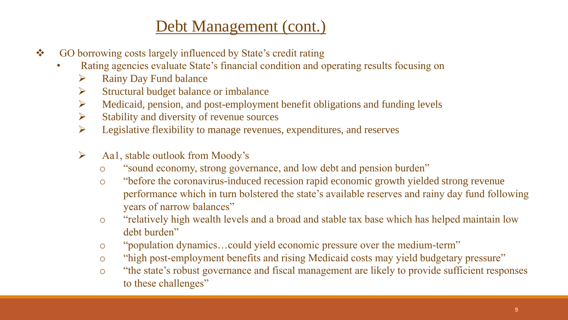### Debt Management (cont.)

- GO borrowing costs largely influenced by State's credit rating
	- Rating agencies evaluate State's financial condition and operating results focusing on
		- $\triangleright$  Rainy Day Fund balance
		- $\triangleright$  Structural budget balance or imbalance
		- $\triangleright$  Medicaid, pension, and post-employment benefit obligations and funding levels
		- $\triangleright$  Stability and diversity of revenue sources
		- $\triangleright$  Legislative flexibility to manage revenues, expenditures, and reserves
		- $\triangleright$  Aa1, stable outlook from Moody's
			- o "sound economy, strong governance, and low debt and pension burden"
			- o "before the coronavirus-induced recession rapid economic growth yielded strong revenue performance which in turn bolstered the state's available reserves and rainy day fund following years of narrow balances"
			- o "relatively high wealth levels and a broad and stable tax base which has helped maintain low debt burden"
			- o "population dynamics…could yield economic pressure over the medium-term"
			- o "high post-employment benefits and rising Medicaid costs may yield budgetary pressure"
			- o "the state's robust governance and fiscal management are likely to provide sufficient responses to these challenges"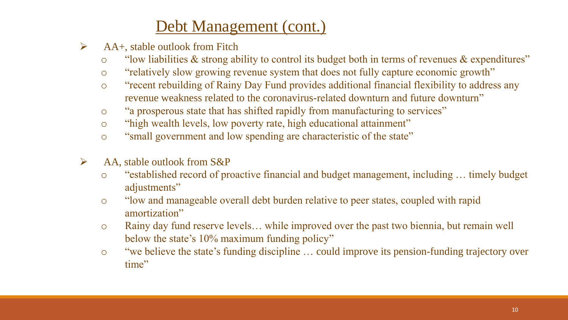## Debt Management (cont.)

- $\triangleright$  AA+, stable outlook from Fitch
	- o "low liabilities & strong ability to control its budget both in terms of revenues & expenditures"
	- o "relatively slow growing revenue system that does not fully capture economic growth"
	- o "recent rebuilding of Rainy Day Fund provides additional financial flexibility to address any revenue weakness related to the coronavirus-related downturn and future downturn"
	- o "a prosperous state that has shifted rapidly from manufacturing to services"
	- o "high wealth levels, low poverty rate, high educational attainment"
	- o "small government and low spending are characteristic of the state"
- $\triangleright$  AA, stable outlook from S&P
	- o "established record of proactive financial and budget management, including … timely budget adjustments"
	- o "low and manageable overall debt burden relative to peer states, coupled with rapid amortization"
	- o Rainy day fund reserve levels… while improved over the past two biennia, but remain well below the state's 10% maximum funding policy"
	- o "we believe the state's funding discipline … could improve its pension-funding trajectory over time"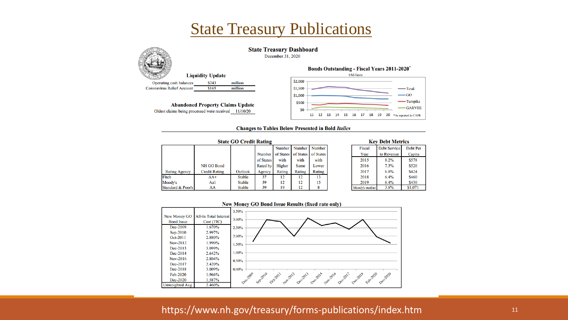

#### **State Treasury Dashboard**

December 31, 2020

|                                   | <b>Liquidity Update</b> |         |
|-----------------------------------|-------------------------|---------|
| <b>Operating cash balances</b>    | \$243                   | million |
| <b>Coronavirus Relief Account</b> | \$165                   | million |
|                                   |                         |         |

**Abandoned Property Claims Update** Oldest claims being processed were received 11/10/20





Debt Per

Capita

\$578

\$520

\$424

\$460

\$430

\$1,071

#### **Changes to Tables Below Presented in Bold Italics**

| <b>State GO Credit Rating</b> |                      |               |                 |        |        |                               |  |                | <b>Key Debt Metrics</b> |   |
|-------------------------------|----------------------|---------------|-----------------|--------|--------|-------------------------------|--|----------------|-------------------------|---|
|                               |                      |               |                 | Number | Number | Number                        |  | Fiscal         | <b>Debt Service</b>     | D |
|                               |                      |               | <b>Number</b>   |        |        | of States of States of States |  | Year           | to Revenue              |   |
|                               |                      |               | of States       | with   | with   | with                          |  | 2015           | 8.2%                    |   |
|                               | NH GO Bond           |               | <b>Rated by</b> | Higher | Same   | Lower                         |  | 2016           | 7.3%                    |   |
| <b>Rating Agency</b>          | <b>Credit Rating</b> | Outlook       | Agency          | Rating | Rating | Rating                        |  | 2017           | $6.8\%$                 |   |
| Fitch                         | $AA+$                | <b>Stable</b> | 37              | 12     | 12     | 13                            |  | 2018           | 6.4%                    |   |
| Moody's                       | Aal                  | <b>Stable</b> | 39              | 12     | 12     | 15                            |  | 2019           | 6.4%                    |   |
| <b>Standard &amp; Poor's</b>  | AA                   | <b>Stable</b> | 39              | 19     | 12     | 8                             |  | Moody's median | 3.8%                    |   |

#### **New Money GO Bond Issue Results (fixed rate only)**



#### https://www.nh.gov/treasury/forms-publications/index.htm